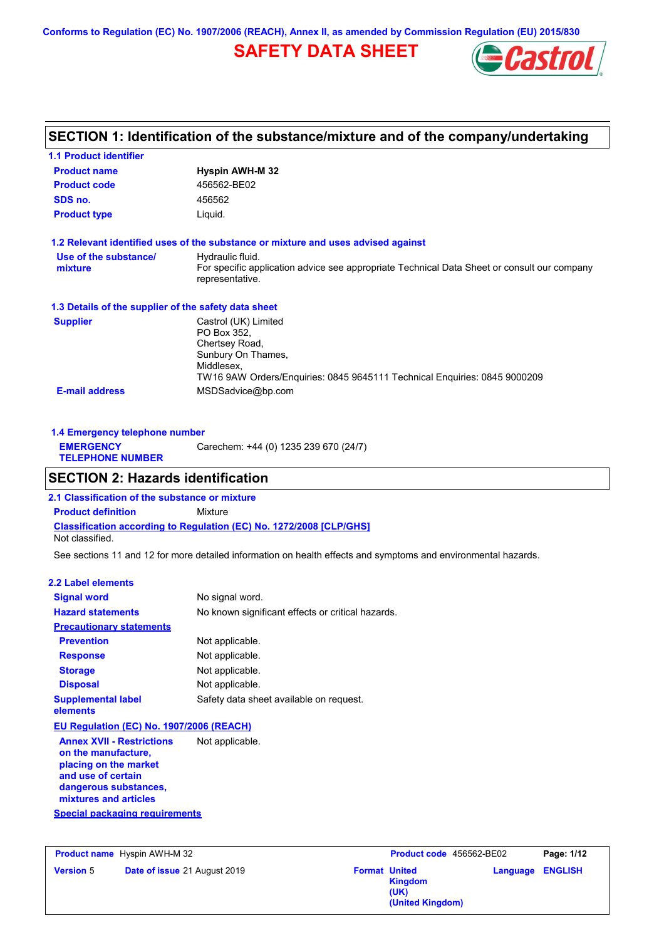## **SAFETY DATA SHEET**



## **SECTION 1: Identification of the substance/mixture and of the company/undertaking**

| <b>1.1 Product identifier</b>                        |                                                                                                                                                                        |
|------------------------------------------------------|------------------------------------------------------------------------------------------------------------------------------------------------------------------------|
| <b>Product name</b>                                  | <b>Hyspin AWH-M 32</b>                                                                                                                                                 |
| <b>Product code</b>                                  | 456562-BE02                                                                                                                                                            |
| SDS no.                                              | 456562                                                                                                                                                                 |
| <b>Product type</b>                                  | Liquid.                                                                                                                                                                |
|                                                      | 1.2 Relevant identified uses of the substance or mixture and uses advised against                                                                                      |
| Use of the substance/<br>mixture                     | Hydraulic fluid.<br>For specific application advice see appropriate Technical Data Sheet or consult our company<br>representative.                                     |
| 1.3 Details of the supplier of the safety data sheet |                                                                                                                                                                        |
| <b>Supplier</b>                                      | Castrol (UK) Limited<br>PO Box 352.<br>Chertsey Road,<br>Sunbury On Thames,<br>Middlesex,<br>TW16 9AW Orders/Enquiries: 0845 9645111 Technical Enquiries: 0845 9000209 |
| <b>E-mail address</b>                                | MSDSadvice@bp.com                                                                                                                                                      |

| 1.4 Emergency telephone number              |                                       |  |
|---------------------------------------------|---------------------------------------|--|
| <b>EMERGENCY</b><br><b>TELEPHONE NUMBER</b> | Carechem: +44 (0) 1235 239 670 (24/7) |  |

## **SECTION 2: Hazards identification**

**Classification according to Regulation (EC) No. 1272/2008 [CLP/GHS] 2.1 Classification of the substance or mixture Product definition** Mixture Not classified.

See sections 11 and 12 for more detailed information on health effects and symptoms and environmental hazards.

#### **2.2 Label elements**

| <b>Signal word</b>                                                                                                             | No signal word.                                   |
|--------------------------------------------------------------------------------------------------------------------------------|---------------------------------------------------|
| <b>Hazard statements</b>                                                                                                       | No known significant effects or critical hazards. |
| <b>Precautionary statements</b>                                                                                                |                                                   |
| <b>Prevention</b>                                                                                                              | Not applicable.                                   |
| <b>Response</b>                                                                                                                | Not applicable.                                   |
| <b>Storage</b>                                                                                                                 | Not applicable.                                   |
| <b>Disposal</b>                                                                                                                | Not applicable.                                   |
| <b>Supplemental label</b><br>elements                                                                                          | Safety data sheet available on request.           |
| EU Regulation (EC) No. 1907/2006 (REACH)                                                                                       |                                                   |
| <b>Annex XVII - Restrictions</b><br>on the manufacture,<br>placing on the market<br>and use of certain<br>dangorous substances | Not applicable.                                   |

**dangerous substances, mixtures and articles**

**Special packaging requirements**

**Product name** Hyspin AWH-M 32

**Version** 5 **Date of issue** 21 August 2019 **Format United Format United**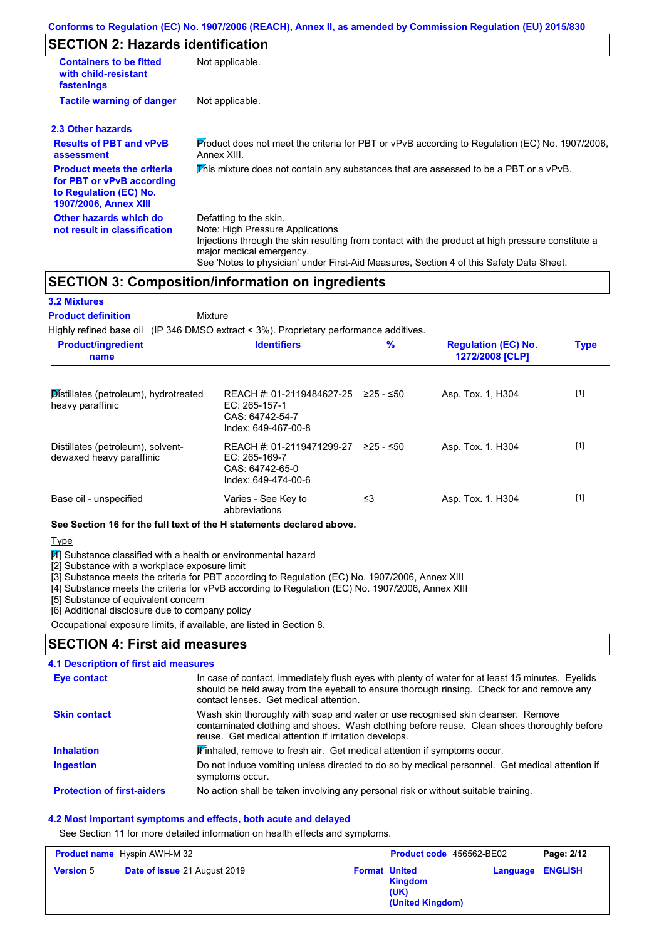## **SECTION 2: Hazards identification**

| <b>Containers to be fitted</b><br>with child-resistant<br>fastenings                                                                                                                                                                                                                                                                             | Not applicable.                                                                                |                                                                                                |                                               |             |  |  |
|--------------------------------------------------------------------------------------------------------------------------------------------------------------------------------------------------------------------------------------------------------------------------------------------------------------------------------------------------|------------------------------------------------------------------------------------------------|------------------------------------------------------------------------------------------------|-----------------------------------------------|-------------|--|--|
| <b>Tactile warning of danger</b>                                                                                                                                                                                                                                                                                                                 | Not applicable.                                                                                |                                                                                                |                                               |             |  |  |
| 2.3 Other hazards                                                                                                                                                                                                                                                                                                                                |                                                                                                |                                                                                                |                                               |             |  |  |
| <b>Results of PBT and vPvB</b><br>assessment                                                                                                                                                                                                                                                                                                     | Annex XIII.                                                                                    | Product does not meet the criteria for PBT or vPvB according to Regulation (EC) No. 1907/2006, |                                               |             |  |  |
| <b>Product meets the criteria</b><br>for PBT or vPvB according<br>to Regulation (EC) No.<br><b>1907/2006, Annex XIII</b>                                                                                                                                                                                                                         | This mixture does not contain any substances that are assessed to be a PBT or a vPvB.          |                                                                                                |                                               |             |  |  |
| Other hazards which do<br>Defatting to the skin.<br>Note: High Pressure Applications<br>not result in classification<br>Injections through the skin resulting from contact with the product at high pressure constitute a<br>major medical emergency.<br>See 'Notes to physician' under First-Aid Measures, Section 4 of this Safety Data Sheet. |                                                                                                |                                                                                                |                                               |             |  |  |
|                                                                                                                                                                                                                                                                                                                                                  | <b>SECTION 3: Composition/information on ingredients</b>                                       |                                                                                                |                                               |             |  |  |
| <b>3.2 Mixtures</b>                                                                                                                                                                                                                                                                                                                              |                                                                                                |                                                                                                |                                               |             |  |  |
| <b>Product definition</b>                                                                                                                                                                                                                                                                                                                        | Mixture                                                                                        |                                                                                                |                                               |             |  |  |
|                                                                                                                                                                                                                                                                                                                                                  | Highly refined base oil (IP 346 DMSO extract $\lt$ 3%). Proprietary performance additives.     |                                                                                                |                                               |             |  |  |
| <b>Product/ingredient</b><br>name                                                                                                                                                                                                                                                                                                                | <b>Identifiers</b>                                                                             | $\frac{9}{6}$                                                                                  | <b>Regulation (EC) No.</b><br>1272/2008 [CLP] | <b>Type</b> |  |  |
|                                                                                                                                                                                                                                                                                                                                                  |                                                                                                |                                                                                                |                                               |             |  |  |
| Distillates (petroleum), hydrotreated<br>heavy paraffinic                                                                                                                                                                                                                                                                                        | REACH #: 01-2119484627-25 ≥25 - ≤50<br>EC: 265-157-1<br>CAS: 64742-54-7<br>Index: 649-467-00-8 |                                                                                                | Asp. Tox. 1, H304                             | $[1]$       |  |  |
| Distillates (petroleum), solvent-                                                                                                                                                                                                                                                                                                                | REACH #: 01-2119471299-27 ≥25 - ≤50                                                            |                                                                                                | Asp. Tox. 1, H304                             | $[1]$       |  |  |

dewaxed heavy paraffinic EC: 265-169-7 CAS: 64742-65-0 Index: 649-474-00-6 Base oil - unspecified Varies - See Key to ≤3 Asp. Tox. 1, H304 [1]

abbreviations

### **See Section 16 for the full text of the H statements declared above.**

**Type** 

 $\mathbb{N}$ ] Substance classified with a health or environmental hazard

[2] Substance with a workplace exposure limit

[3] Substance meets the criteria for PBT according to Regulation (EC) No. 1907/2006, Annex XIII

[4] Substance meets the criteria for vPvB according to Regulation (EC) No. 1907/2006, Annex XIII

[5] Substance of equivalent concern

[6] Additional disclosure due to company policy

Occupational exposure limits, if available, are listed in Section 8.

## **SECTION 4: First aid measures**

### **4.1 Description of first aid measures**

| <b>Eye contact</b>                | In case of contact, immediately flush eyes with plenty of water for at least 15 minutes. Eyelids<br>should be held away from the eyeball to ensure thorough rinsing. Check for and remove any<br>contact lenses. Get medical attention. |
|-----------------------------------|-----------------------------------------------------------------------------------------------------------------------------------------------------------------------------------------------------------------------------------------|
| <b>Skin contact</b>               | Wash skin thoroughly with soap and water or use recognised skin cleanser. Remove<br>contaminated clothing and shoes. Wash clothing before reuse. Clean shoes thoroughly before<br>reuse. Get medical attention if irritation develops.  |
| <b>Inhalation</b>                 | <b>If</b> inhaled, remove to fresh air. Get medical attention if symptoms occur.                                                                                                                                                        |
| <b>Ingestion</b>                  | Do not induce vomiting unless directed to do so by medical personnel. Get medical attention if<br>symptoms occur.                                                                                                                       |
| <b>Protection of first-aiders</b> | No action shall be taken involving any personal risk or without suitable training.                                                                                                                                                      |

#### **4.2 Most important symptoms and effects, both acute and delayed**

See Section 11 for more detailed information on health effects and symptoms.

| <b>Product name</b> Hyspin AWH-M 32 |                                     | Product code 456562-BE02 |                                     | Page: 2/12              |  |
|-------------------------------------|-------------------------------------|--------------------------|-------------------------------------|-------------------------|--|
| <b>Version 5</b>                    | <b>Date of issue 21 August 2019</b> | <b>Format United</b>     | Kingdom<br>(UK)<br>(United Kingdom) | <b>Language ENGLISH</b> |  |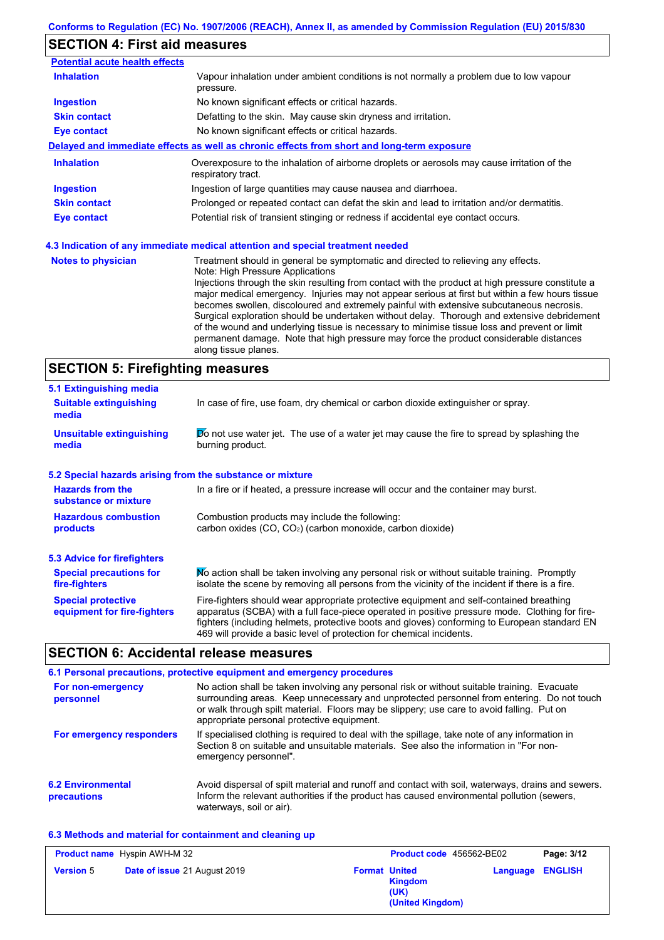# **SECTION 4: First aid measures**

| <b>Potential acute health effects</b> |                                                                                                                                                                                                                                                                                                                                                                                                                                                                                                                                                                                                                                                                                                                                            |  |
|---------------------------------------|--------------------------------------------------------------------------------------------------------------------------------------------------------------------------------------------------------------------------------------------------------------------------------------------------------------------------------------------------------------------------------------------------------------------------------------------------------------------------------------------------------------------------------------------------------------------------------------------------------------------------------------------------------------------------------------------------------------------------------------------|--|
| <b>Inhalation</b>                     | Vapour inhalation under ambient conditions is not normally a problem due to low vapour<br>pressure.                                                                                                                                                                                                                                                                                                                                                                                                                                                                                                                                                                                                                                        |  |
| <b>Ingestion</b>                      | No known significant effects or critical hazards.                                                                                                                                                                                                                                                                                                                                                                                                                                                                                                                                                                                                                                                                                          |  |
| <b>Skin contact</b>                   | Defatting to the skin. May cause skin dryness and irritation.                                                                                                                                                                                                                                                                                                                                                                                                                                                                                                                                                                                                                                                                              |  |
| <b>Eye contact</b>                    | No known significant effects or critical hazards.                                                                                                                                                                                                                                                                                                                                                                                                                                                                                                                                                                                                                                                                                          |  |
|                                       | Delayed and immediate effects as well as chronic effects from short and long-term exposure                                                                                                                                                                                                                                                                                                                                                                                                                                                                                                                                                                                                                                                 |  |
| <b>Inhalation</b>                     | Overexposure to the inhalation of airborne droplets or aerosols may cause irritation of the<br>respiratory tract.                                                                                                                                                                                                                                                                                                                                                                                                                                                                                                                                                                                                                          |  |
| <b>Ingestion</b>                      | Ingestion of large quantities may cause nausea and diarrhoea.                                                                                                                                                                                                                                                                                                                                                                                                                                                                                                                                                                                                                                                                              |  |
| <b>Skin contact</b>                   | Prolonged or repeated contact can defat the skin and lead to irritation and/or dermatitis.                                                                                                                                                                                                                                                                                                                                                                                                                                                                                                                                                                                                                                                 |  |
| <b>Eye contact</b>                    | Potential risk of transient stinging or redness if accidental eye contact occurs.                                                                                                                                                                                                                                                                                                                                                                                                                                                                                                                                                                                                                                                          |  |
|                                       | 4.3 Indication of any immediate medical attention and special treatment needed                                                                                                                                                                                                                                                                                                                                                                                                                                                                                                                                                                                                                                                             |  |
| <b>Notes to physician</b>             | Treatment should in general be symptomatic and directed to relieving any effects.<br>Note: High Pressure Applications<br>Injections through the skin resulting from contact with the product at high pressure constitute a<br>major medical emergency. Injuries may not appear serious at first but within a few hours tissue<br>becomes swollen, discoloured and extremely painful with extensive subcutaneous necrosis.<br>Surgical exploration should be undertaken without delay. Thorough and extensive debridement<br>of the wound and underlying tissue is necessary to minimise tissue loss and prevent or limit<br>permanent damage. Note that high pressure may force the product considerable distances<br>along tissue planes. |  |

# **SECTION 5: Firefighting measures**

| In case of fire, use foam, dry chemical or carbon dioxide extinguisher or spray.                                                                                                                                                                                                                                                                                  |  |
|-------------------------------------------------------------------------------------------------------------------------------------------------------------------------------------------------------------------------------------------------------------------------------------------------------------------------------------------------------------------|--|
| $\triangleright$ not use water jet. The use of a water jet may cause the fire to spread by splashing the<br>burning product.                                                                                                                                                                                                                                      |  |
| 5.2 Special hazards arising from the substance or mixture                                                                                                                                                                                                                                                                                                         |  |
| In a fire or if heated, a pressure increase will occur and the container may burst.                                                                                                                                                                                                                                                                               |  |
| Combustion products may include the following:<br>carbon oxides (CO, CO <sub>2</sub> ) (carbon monoxide, carbon dioxide)                                                                                                                                                                                                                                          |  |
|                                                                                                                                                                                                                                                                                                                                                                   |  |
| No action shall be taken involving any personal risk or without suitable training. Promptly<br><b>Special precautions for</b><br>isolate the scene by removing all persons from the vicinity of the incident if there is a fire.<br>fire-fighters                                                                                                                 |  |
| Fire-fighters should wear appropriate protective equipment and self-contained breathing<br>apparatus (SCBA) with a full face-piece operated in positive pressure mode. Clothing for fire-<br>fighters (including helmets, protective boots and gloves) conforming to European standard EN<br>469 will provide a basic level of protection for chemical incidents. |  |
|                                                                                                                                                                                                                                                                                                                                                                   |  |

## **SECTION 6: Accidental release measures**

|                                         | 6.1 Personal precautions, protective equipment and emergency procedures                                                                                                                                                                                                                                                             |
|-----------------------------------------|-------------------------------------------------------------------------------------------------------------------------------------------------------------------------------------------------------------------------------------------------------------------------------------------------------------------------------------|
| For non-emergency<br>personnel          | No action shall be taken involving any personal risk or without suitable training. Evacuate<br>surrounding areas. Keep unnecessary and unprotected personnel from entering. Do not touch<br>or walk through spilt material. Floors may be slippery; use care to avoid falling. Put on<br>appropriate personal protective equipment. |
| For emergency responders                | If specialised clothing is required to deal with the spillage, take note of any information in<br>Section 8 on suitable and unsuitable materials. See also the information in "For non-<br>emergency personnel".                                                                                                                    |
| <b>6.2 Environmental</b><br>precautions | Avoid dispersal of spilt material and runoff and contact with soil, waterways, drains and sewers.<br>Inform the relevant authorities if the product has caused environmental pollution (sewers,<br>waterways, soil or air).                                                                                                         |

### **6.3 Methods and material for containment and cleaning up**

|                  | <b>Product name</b> Hyspin AWH-M 32 | Product code 456562-BE02                                    |                         | Page: 3/12 |
|------------------|-------------------------------------|-------------------------------------------------------------|-------------------------|------------|
| <b>Version 5</b> | Date of issue 21 August 2019        | <b>Format United</b><br>Kingdom<br>(UK)<br>(United Kingdom) | <b>Language ENGLISH</b> |            |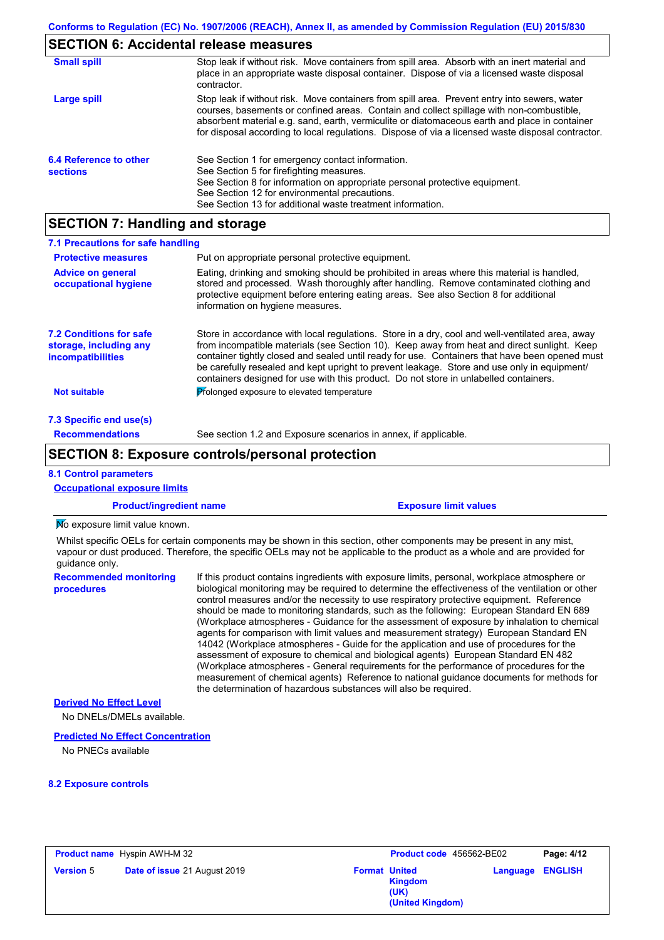# **SECTION 6: Accidental release measures**

| <b>Small spill</b>                        | Stop leak if without risk. Move containers from spill area. Absorb with an inert material and<br>place in an appropriate waste disposal container. Dispose of via a licensed waste disposal<br>contractor.                                                                                                                                                                                     |
|-------------------------------------------|------------------------------------------------------------------------------------------------------------------------------------------------------------------------------------------------------------------------------------------------------------------------------------------------------------------------------------------------------------------------------------------------|
| Large spill                               | Stop leak if without risk. Move containers from spill area. Prevent entry into sewers, water<br>courses, basements or confined areas. Contain and collect spillage with non-combustible,<br>absorbent material e.g. sand, earth, vermiculite or diatomaceous earth and place in container<br>for disposal according to local regulations. Dispose of via a licensed waste disposal contractor. |
| 6.4 Reference to other<br><b>sections</b> | See Section 1 for emergency contact information.<br>See Section 5 for firefighting measures.<br>See Section 8 for information on appropriate personal protective equipment.<br>See Section 12 for environmental precautions.<br>See Section 13 for additional waste treatment information.                                                                                                     |

# **SECTION 7: Handling and storage**

| 7.1 Precautions for safe handling                                                    |                                                                                                                                                                                                                                                                                                                                                                                                                                                                                          |
|--------------------------------------------------------------------------------------|------------------------------------------------------------------------------------------------------------------------------------------------------------------------------------------------------------------------------------------------------------------------------------------------------------------------------------------------------------------------------------------------------------------------------------------------------------------------------------------|
| <b>Protective measures</b>                                                           | Put on appropriate personal protective equipment.                                                                                                                                                                                                                                                                                                                                                                                                                                        |
| <b>Advice on general</b><br>occupational hygiene                                     | Eating, drinking and smoking should be prohibited in areas where this material is handled.<br>stored and processed. Wash thoroughly after handling. Remove contaminated clothing and<br>protective equipment before entering eating areas. See also Section 8 for additional<br>information on hygiene measures.                                                                                                                                                                         |
| <b>7.2 Conditions for safe</b><br>storage, including any<br><i>incompatibilities</i> | Store in accordance with local regulations. Store in a dry, cool and well-ventilated area, away<br>from incompatible materials (see Section 10). Keep away from heat and direct sunlight. Keep<br>container tightly closed and sealed until ready for use. Containers that have been opened must<br>be carefully resealed and kept upright to prevent leakage. Store and use only in equipment/<br>containers designed for use with this product. Do not store in unlabelled containers. |
| <b>Not suitable</b>                                                                  | Prolonged exposure to elevated temperature                                                                                                                                                                                                                                                                                                                                                                                                                                               |
| 7.3 Specific end use(s)                                                              |                                                                                                                                                                                                                                                                                                                                                                                                                                                                                          |
| <b>Recommendations</b>                                                               | See section 1.2 and Exposure scenarios in annex, if applicable.                                                                                                                                                                                                                                                                                                                                                                                                                          |
|                                                                                      |                                                                                                                                                                                                                                                                                                                                                                                                                                                                                          |

## **SECTION 8: Exposure controls/personal protection**

### **8.1 Control parameters**

| <b>Occupational exposure limits</b>                                                                                                                                                                                                                                    |                                                                                                                                                                                                                                                                                                                                                                                                                                                                                                                                                                                                                                                                                                                                                                                                                                                                                                                                                                                                                            |  |  |
|------------------------------------------------------------------------------------------------------------------------------------------------------------------------------------------------------------------------------------------------------------------------|----------------------------------------------------------------------------------------------------------------------------------------------------------------------------------------------------------------------------------------------------------------------------------------------------------------------------------------------------------------------------------------------------------------------------------------------------------------------------------------------------------------------------------------------------------------------------------------------------------------------------------------------------------------------------------------------------------------------------------------------------------------------------------------------------------------------------------------------------------------------------------------------------------------------------------------------------------------------------------------------------------------------------|--|--|
| <b>Product/ingredient name</b>                                                                                                                                                                                                                                         | <b>Exposure limit values</b>                                                                                                                                                                                                                                                                                                                                                                                                                                                                                                                                                                                                                                                                                                                                                                                                                                                                                                                                                                                               |  |  |
| No exposure limit value known.                                                                                                                                                                                                                                         |                                                                                                                                                                                                                                                                                                                                                                                                                                                                                                                                                                                                                                                                                                                                                                                                                                                                                                                                                                                                                            |  |  |
| Whilst specific OELs for certain components may be shown in this section, other components may be present in any mist,<br>vapour or dust produced. Therefore, the specific OELs may not be applicable to the product as a whole and are provided for<br>quidance only. |                                                                                                                                                                                                                                                                                                                                                                                                                                                                                                                                                                                                                                                                                                                                                                                                                                                                                                                                                                                                                            |  |  |
| <b>Recommended monitoring</b><br>procedures                                                                                                                                                                                                                            | If this product contains ingredients with exposure limits, personal, workplace atmosphere or<br>biological monitoring may be required to determine the effectiveness of the ventilation or other<br>control measures and/or the necessity to use respiratory protective equipment. Reference<br>should be made to monitoring standards, such as the following: European Standard EN 689<br>(Workplace atmospheres - Guidance for the assessment of exposure by inhalation to chemical<br>agents for comparison with limit values and measurement strategy) European Standard EN<br>14042 (Workplace atmospheres - Guide for the application and use of procedures for the<br>assessment of exposure to chemical and biological agents) European Standard EN 482<br>(Workplace atmospheres - General requirements for the performance of procedures for the<br>measurement of chemical agents) Reference to national guidance documents for methods for<br>the determination of hazardous substances will also be required. |  |  |
| <b>Derived No Effect Level</b>                                                                                                                                                                                                                                         |                                                                                                                                                                                                                                                                                                                                                                                                                                                                                                                                                                                                                                                                                                                                                                                                                                                                                                                                                                                                                            |  |  |

No DNELs/DMELs available.

#### **Predicted No Effect Concentration**

No PNECs available

#### **8.2 Exposure controls**

|                  | <b>Product name</b> Hyspin AWH-M 32 |                      | <b>Product code</b> 456562-BE02            |          | Page: 4/12     |
|------------------|-------------------------------------|----------------------|--------------------------------------------|----------|----------------|
| <b>Version 5</b> | Date of issue 21 August 2019        | <b>Format United</b> | <b>Kingdom</b><br>(UK)<br>(United Kingdom) | Language | <b>ENGLISH</b> |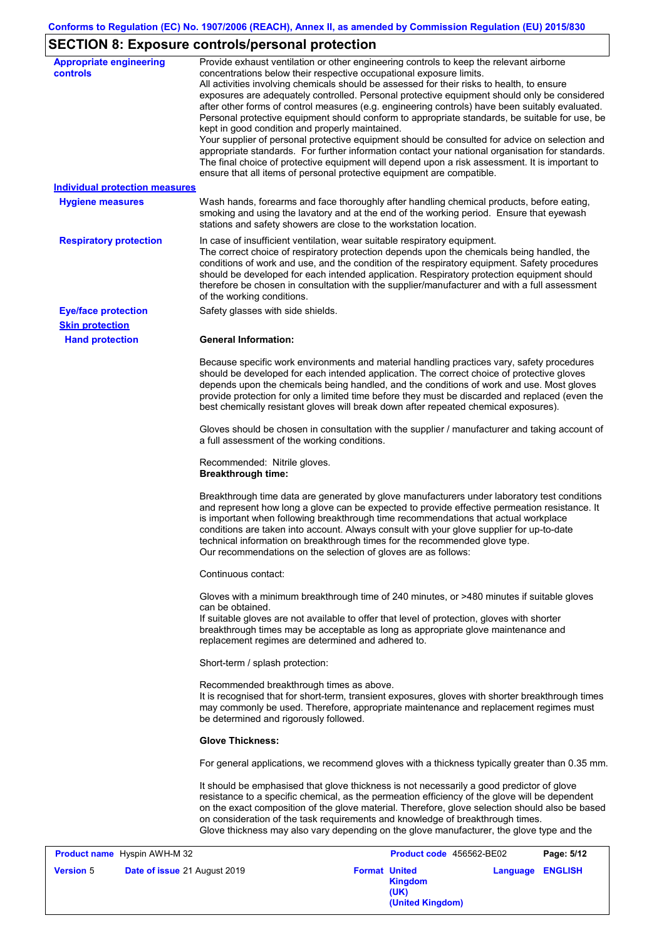# **SECTION 8: Exposure controls/personal protection**

| <b>Appropriate engineering</b><br><b>controls</b><br><b>Individual protection measures</b><br><b>Hygiene measures</b><br><b>Respiratory protection</b> | Provide exhaust ventilation or other engineering controls to keep the relevant airborne<br>concentrations below their respective occupational exposure limits.<br>All activities involving chemicals should be assessed for their risks to health, to ensure<br>exposures are adequately controlled. Personal protective equipment should only be considered<br>after other forms of control measures (e.g. engineering controls) have been suitably evaluated.<br>Personal protective equipment should conform to appropriate standards, be suitable for use, be<br>kept in good condition and properly maintained.<br>Your supplier of personal protective equipment should be consulted for advice on selection and<br>appropriate standards. For further information contact your national organisation for standards.<br>The final choice of protective equipment will depend upon a risk assessment. It is important to<br>ensure that all items of personal protective equipment are compatible.<br>Wash hands, forearms and face thoroughly after handling chemical products, before eating,<br>smoking and using the lavatory and at the end of the working period. Ensure that eyewash<br>stations and safety showers are close to the workstation location.<br>In case of insufficient ventilation, wear suitable respiratory equipment. |
|--------------------------------------------------------------------------------------------------------------------------------------------------------|-----------------------------------------------------------------------------------------------------------------------------------------------------------------------------------------------------------------------------------------------------------------------------------------------------------------------------------------------------------------------------------------------------------------------------------------------------------------------------------------------------------------------------------------------------------------------------------------------------------------------------------------------------------------------------------------------------------------------------------------------------------------------------------------------------------------------------------------------------------------------------------------------------------------------------------------------------------------------------------------------------------------------------------------------------------------------------------------------------------------------------------------------------------------------------------------------------------------------------------------------------------------------------------------------------------------------------------------------------|
|                                                                                                                                                        | The correct choice of respiratory protection depends upon the chemicals being handled, the<br>conditions of work and use, and the condition of the respiratory equipment. Safety procedures<br>should be developed for each intended application. Respiratory protection equipment should<br>therefore be chosen in consultation with the supplier/manufacturer and with a full assessment<br>of the working conditions.                                                                                                                                                                                                                                                                                                                                                                                                                                                                                                                                                                                                                                                                                                                                                                                                                                                                                                                            |
| <b>Eye/face protection</b>                                                                                                                             | Safety glasses with side shields.                                                                                                                                                                                                                                                                                                                                                                                                                                                                                                                                                                                                                                                                                                                                                                                                                                                                                                                                                                                                                                                                                                                                                                                                                                                                                                                   |
| <b>Skin protection</b><br><b>Hand protection</b>                                                                                                       | <b>General Information:</b>                                                                                                                                                                                                                                                                                                                                                                                                                                                                                                                                                                                                                                                                                                                                                                                                                                                                                                                                                                                                                                                                                                                                                                                                                                                                                                                         |
|                                                                                                                                                        | Because specific work environments and material handling practices vary, safety procedures<br>should be developed for each intended application. The correct choice of protective gloves<br>depends upon the chemicals being handled, and the conditions of work and use. Most gloves<br>provide protection for only a limited time before they must be discarded and replaced (even the<br>best chemically resistant gloves will break down after repeated chemical exposures).                                                                                                                                                                                                                                                                                                                                                                                                                                                                                                                                                                                                                                                                                                                                                                                                                                                                    |
|                                                                                                                                                        | Gloves should be chosen in consultation with the supplier / manufacturer and taking account of<br>a full assessment of the working conditions.                                                                                                                                                                                                                                                                                                                                                                                                                                                                                                                                                                                                                                                                                                                                                                                                                                                                                                                                                                                                                                                                                                                                                                                                      |
|                                                                                                                                                        | Recommended: Nitrile gloves.<br><b>Breakthrough time:</b>                                                                                                                                                                                                                                                                                                                                                                                                                                                                                                                                                                                                                                                                                                                                                                                                                                                                                                                                                                                                                                                                                                                                                                                                                                                                                           |
|                                                                                                                                                        | Breakthrough time data are generated by glove manufacturers under laboratory test conditions<br>and represent how long a glove can be expected to provide effective permeation resistance. It<br>is important when following breakthrough time recommendations that actual workplace<br>conditions are taken into account. Always consult with your glove supplier for up-to-date<br>technical information on breakthrough times for the recommended glove type.<br>Our recommendations on the selection of gloves are as follows:                                                                                                                                                                                                                                                                                                                                                                                                                                                                                                                                                                                                                                                                                                                                                                                                                  |
|                                                                                                                                                        | Continuous contact:                                                                                                                                                                                                                                                                                                                                                                                                                                                                                                                                                                                                                                                                                                                                                                                                                                                                                                                                                                                                                                                                                                                                                                                                                                                                                                                                 |
|                                                                                                                                                        | Gloves with a minimum breakthrough time of 240 minutes, or >480 minutes if suitable gloves<br>can be obtained.<br>If suitable gloves are not available to offer that level of protection, gloves with shorter<br>breakthrough times may be acceptable as long as appropriate glove maintenance and<br>replacement regimes are determined and adhered to.                                                                                                                                                                                                                                                                                                                                                                                                                                                                                                                                                                                                                                                                                                                                                                                                                                                                                                                                                                                            |
|                                                                                                                                                        | Short-term / splash protection:                                                                                                                                                                                                                                                                                                                                                                                                                                                                                                                                                                                                                                                                                                                                                                                                                                                                                                                                                                                                                                                                                                                                                                                                                                                                                                                     |
|                                                                                                                                                        | Recommended breakthrough times as above.<br>It is recognised that for short-term, transient exposures, gloves with shorter breakthrough times<br>may commonly be used. Therefore, appropriate maintenance and replacement regimes must<br>be determined and rigorously followed.                                                                                                                                                                                                                                                                                                                                                                                                                                                                                                                                                                                                                                                                                                                                                                                                                                                                                                                                                                                                                                                                    |
|                                                                                                                                                        | <b>Glove Thickness:</b>                                                                                                                                                                                                                                                                                                                                                                                                                                                                                                                                                                                                                                                                                                                                                                                                                                                                                                                                                                                                                                                                                                                                                                                                                                                                                                                             |
|                                                                                                                                                        | For general applications, we recommend gloves with a thickness typically greater than 0.35 mm.                                                                                                                                                                                                                                                                                                                                                                                                                                                                                                                                                                                                                                                                                                                                                                                                                                                                                                                                                                                                                                                                                                                                                                                                                                                      |
|                                                                                                                                                        | It should be emphasised that glove thickness is not necessarily a good predictor of glove<br>resistance to a specific chemical, as the permeation efficiency of the glove will be dependent<br>on the exact composition of the glove material. Therefore, glove selection should also be based<br>on consideration of the task requirements and knowledge of breakthrough times.<br>Glove thickness may also vary depending on the glove manufacturer, the glove type and the                                                                                                                                                                                                                                                                                                                                                                                                                                                                                                                                                                                                                                                                                                                                                                                                                                                                       |

|                  | <b>Product name</b> Hyspin AWH-M 32 |                      | <b>Product code</b> 456562-BE02     |          | Page: 5/12     |
|------------------|-------------------------------------|----------------------|-------------------------------------|----------|----------------|
| <b>Version 5</b> | Date of issue 21 August 2019        | <b>Format United</b> | Kingdom<br>(UK)<br>(United Kingdom) | Language | <b>ENGLISH</b> |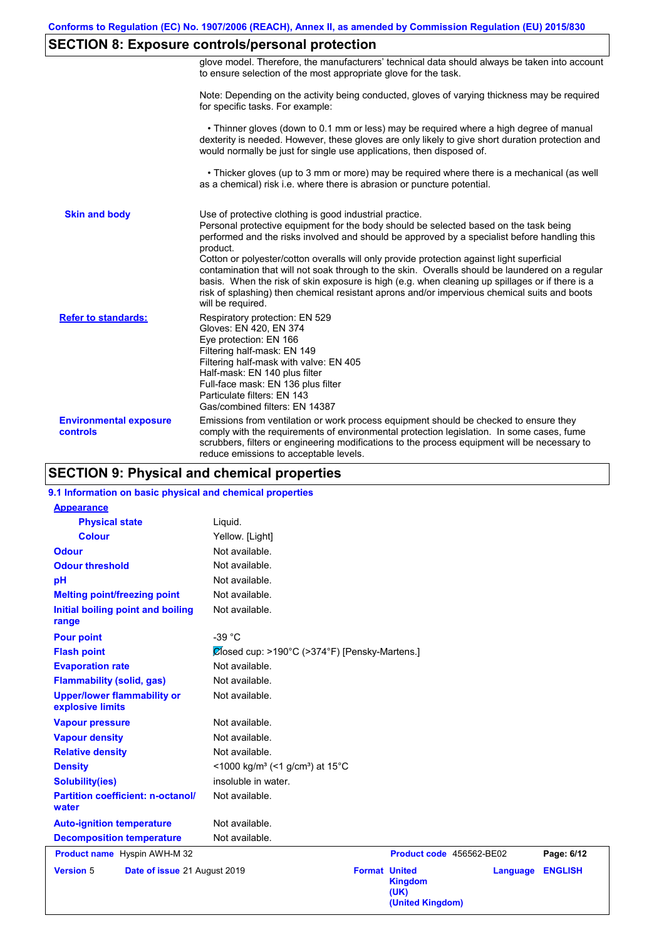## **SECTION 8: Exposure controls/personal protection**

|                                           | glove model. Therefore, the manufacturers' technical data should always be taken into account<br>to ensure selection of the most appropriate glove for the task.                                                                                                                                                                                                                                                                                                                                                                                                                                                                                                                      |
|-------------------------------------------|---------------------------------------------------------------------------------------------------------------------------------------------------------------------------------------------------------------------------------------------------------------------------------------------------------------------------------------------------------------------------------------------------------------------------------------------------------------------------------------------------------------------------------------------------------------------------------------------------------------------------------------------------------------------------------------|
|                                           | Note: Depending on the activity being conducted, gloves of varying thickness may be required<br>for specific tasks. For example:                                                                                                                                                                                                                                                                                                                                                                                                                                                                                                                                                      |
|                                           | • Thinner gloves (down to 0.1 mm or less) may be required where a high degree of manual<br>dexterity is needed. However, these gloves are only likely to give short duration protection and<br>would normally be just for single use applications, then disposed of.                                                                                                                                                                                                                                                                                                                                                                                                                  |
|                                           | • Thicker gloves (up to 3 mm or more) may be required where there is a mechanical (as well<br>as a chemical) risk i.e. where there is abrasion or puncture potential.                                                                                                                                                                                                                                                                                                                                                                                                                                                                                                                 |
| <b>Skin and body</b>                      | Use of protective clothing is good industrial practice.<br>Personal protective equipment for the body should be selected based on the task being<br>performed and the risks involved and should be approved by a specialist before handling this<br>product.<br>Cotton or polyester/cotton overalls will only provide protection against light superficial<br>contamination that will not soak through to the skin. Overalls should be laundered on a regular<br>basis. When the risk of skin exposure is high (e.g. when cleaning up spillages or if there is a<br>risk of splashing) then chemical resistant aprons and/or impervious chemical suits and boots<br>will be required. |
| <b>Refer to standards:</b>                | Respiratory protection: EN 529<br>Gloves: EN 420, EN 374<br>Eye protection: EN 166<br>Filtering half-mask: EN 149<br>Filtering half-mask with valve: EN 405<br>Half-mask: EN 140 plus filter<br>Full-face mask: EN 136 plus filter<br>Particulate filters: EN 143<br>Gas/combined filters: EN 14387                                                                                                                                                                                                                                                                                                                                                                                   |
| <b>Environmental exposure</b><br>controls | Emissions from ventilation or work process equipment should be checked to ensure they<br>comply with the requirements of environmental protection legislation. In some cases, fume<br>scrubbers, filters or engineering modifications to the process equipment will be necessary to<br>reduce emissions to acceptable levels.                                                                                                                                                                                                                                                                                                                                                         |

## **SECTION 9: Physical and chemical properties**

## **9.1 Information on basic physical and chemical properties**

| <b>Appearance</b>                                      |                                                                              |
|--------------------------------------------------------|------------------------------------------------------------------------------|
| <b>Physical state</b>                                  | Liquid.                                                                      |
| <b>Colour</b>                                          | Yellow. [Light]                                                              |
| <b>Odour</b>                                           | Not available.                                                               |
| <b>Odour threshold</b>                                 | Not available.                                                               |
| pH                                                     | Not available.                                                               |
| <b>Melting point/freezing point</b>                    | Not available.                                                               |
| Initial boiling point and boiling<br>range             | Not available.                                                               |
| <b>Pour point</b>                                      | -39 °C                                                                       |
| <b>Flash point</b>                                     | $\mathcal{O}$ losed cup: >190°C (>374°F) [Pensky-Martens.]                   |
| <b>Evaporation rate</b>                                | Not available.                                                               |
| <b>Flammability (solid, gas)</b>                       | Not available.                                                               |
| <b>Upper/lower flammability or</b><br>explosive limits | Not available.                                                               |
| <b>Vapour pressure</b>                                 | Not available.                                                               |
| <b>Vapour density</b>                                  | Not available.                                                               |
| <b>Relative density</b>                                | Not available.                                                               |
| <b>Density</b>                                         | <1000 kg/m <sup>3</sup> (<1 g/cm <sup>3</sup> ) at 15 <sup>°</sup> C         |
| <b>Solubility(ies)</b>                                 | insoluble in water.                                                          |
| <b>Partition coefficient: n-octanol/</b><br>water      | Not available.                                                               |
| <b>Auto-ignition temperature</b>                       | Not available.                                                               |
| <b>Decomposition temperature</b>                       | Not available.                                                               |
| <b>Product name</b> Hyspin AWH-M 32                    | Product code 456562-BE02<br>Page: 6/12                                       |
| <b>Version 5</b><br>Date of issue 21 August 2019       | <b>Format United</b><br><b>ENGLISH</b><br>Language<br><b>Kingdom</b><br>(UK) |

**(United Kingdom)**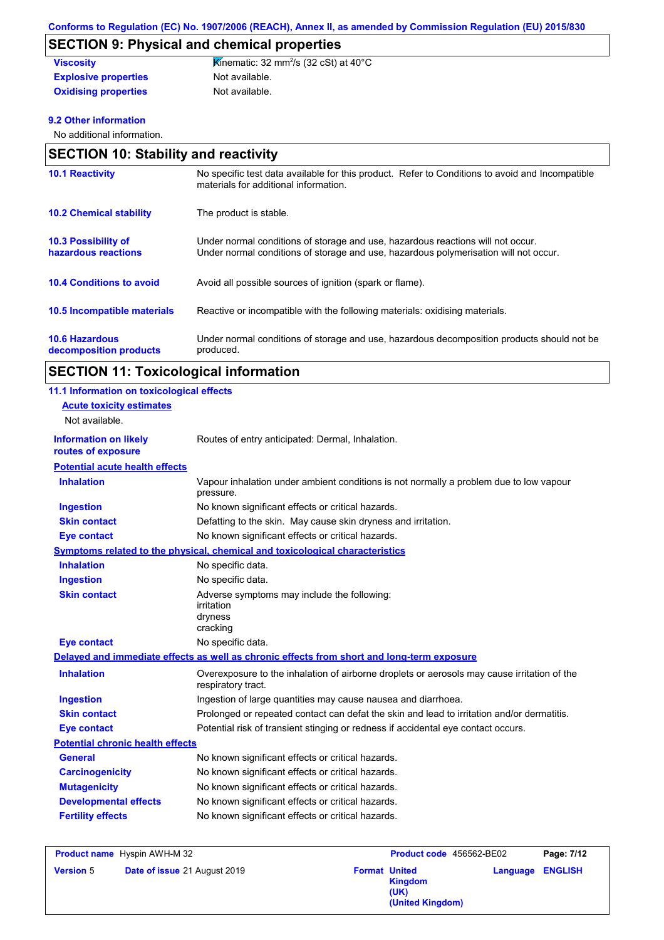# **SECTION 9: Physical and chemical properties**

| <b>Viscosity</b>            | <b>K</b> inematic: 32 mm <sup>2</sup> /s (32 cSt) at 40 $^{\circ}$ C |
|-----------------------------|----------------------------------------------------------------------|
| <b>Explosive properties</b> | Not available.                                                       |
| <b>Oxidising properties</b> | Not available.                                                       |

### **9.2 Other information**

No additional information.

| <b>SECTION 10: Stability and reactivity</b>     |                                                                                                                                                                         |  |
|-------------------------------------------------|-------------------------------------------------------------------------------------------------------------------------------------------------------------------------|--|
| <b>10.1 Reactivity</b>                          | No specific test data available for this product. Refer to Conditions to avoid and Incompatible<br>materials for additional information.                                |  |
| <b>10.2 Chemical stability</b>                  | The product is stable.                                                                                                                                                  |  |
| 10.3 Possibility of<br>hazardous reactions      | Under normal conditions of storage and use, hazardous reactions will not occur.<br>Under normal conditions of storage and use, hazardous polymerisation will not occur. |  |
| <b>10.4 Conditions to avoid</b>                 | Avoid all possible sources of ignition (spark or flame).                                                                                                                |  |
| <b>10.5 Incompatible materials</b>              | Reactive or incompatible with the following materials: oxidising materials.                                                                                             |  |
| <b>10.6 Hazardous</b><br>decomposition products | Under normal conditions of storage and use, hazardous decomposition products should not be<br>produced.                                                                 |  |

| <b>SECTION 11: Toxicological information</b> |  |
|----------------------------------------------|--|
|----------------------------------------------|--|

| 11.1 Information on toxicological effects<br><b>Acute toxicity estimates</b><br>Not available. |                                                                                                                   |
|------------------------------------------------------------------------------------------------|-------------------------------------------------------------------------------------------------------------------|
| <b>Information on likely</b><br>routes of exposure                                             | Routes of entry anticipated: Dermal, Inhalation.                                                                  |
| <b>Potential acute health effects</b>                                                          |                                                                                                                   |
| <b>Inhalation</b>                                                                              | Vapour inhalation under ambient conditions is not normally a problem due to low vapour<br>pressure.               |
| <b>Ingestion</b>                                                                               | No known significant effects or critical hazards.                                                                 |
| <b>Skin contact</b>                                                                            | Defatting to the skin. May cause skin dryness and irritation.                                                     |
| <b>Eye contact</b>                                                                             | No known significant effects or critical hazards.                                                                 |
|                                                                                                | Symptoms related to the physical, chemical and toxicological characteristics                                      |
| <b>Inhalation</b>                                                                              | No specific data.                                                                                                 |
| <b>Ingestion</b>                                                                               | No specific data.                                                                                                 |
| <b>Skin contact</b>                                                                            | Adverse symptoms may include the following:<br>irritation<br>dryness<br>cracking                                  |
| <b>Eye contact</b>                                                                             | No specific data.                                                                                                 |
|                                                                                                | Delayed and immediate effects as well as chronic effects from short and long-term exposure                        |
| <b>Inhalation</b>                                                                              | Overexposure to the inhalation of airborne droplets or aerosols may cause irritation of the<br>respiratory tract. |
| <b>Ingestion</b>                                                                               | Ingestion of large quantities may cause nausea and diarrhoea.                                                     |
| <b>Skin contact</b>                                                                            | Prolonged or repeated contact can defat the skin and lead to irritation and/or dermatitis.                        |
| <b>Eye contact</b>                                                                             | Potential risk of transient stinging or redness if accidental eye contact occurs.                                 |
| <b>Potential chronic health effects</b>                                                        |                                                                                                                   |
| <b>General</b>                                                                                 | No known significant effects or critical hazards.                                                                 |
| <b>Carcinogenicity</b>                                                                         | No known significant effects or critical hazards.                                                                 |
| <b>Mutagenicity</b>                                                                            | No known significant effects or critical hazards.                                                                 |
| <b>Developmental effects</b>                                                                   | No known significant effects or critical hazards.                                                                 |
| <b>Fertility effects</b>                                                                       | No known significant effects or critical hazards.                                                                 |

| <b>Product name</b> Hyspin AWH-M 32 |                              | Product code 456562-BE02 |                                     | Page: 7/12 |                |
|-------------------------------------|------------------------------|--------------------------|-------------------------------------|------------|----------------|
| <b>Version 5</b>                    | Date of issue 21 August 2019 | <b>Format United</b>     | Kingdom<br>(UK)<br>(United Kingdom) | Language   | <b>ENGLISH</b> |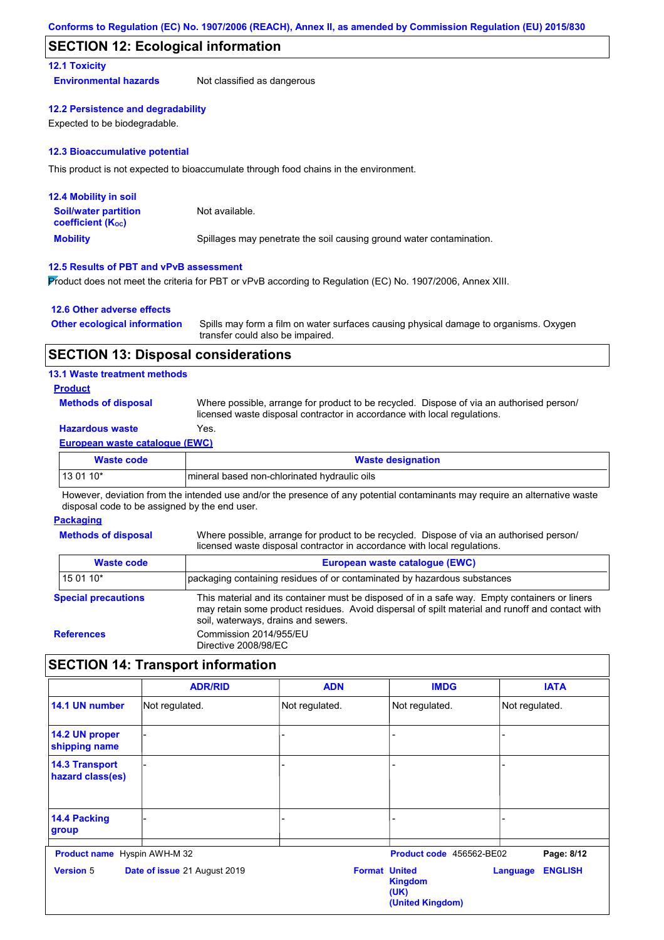## **SECTION 12: Ecological information**

#### **12.1 Toxicity**

**Environmental hazards** Not classified as dangerous

#### **12.2 Persistence and degradability**

Expected to be biodegradable.

#### **12.3 Bioaccumulative potential**

This product is not expected to bioaccumulate through food chains in the environment.

| <b>12.4 Mobility in soil</b>                            |                                                                      |
|---------------------------------------------------------|----------------------------------------------------------------------|
| <b>Soil/water partition</b><br><b>coefficient (Koc)</b> | Not available.                                                       |
| <b>Mobility</b>                                         | Spillages may penetrate the soil causing ground water contamination. |

#### **12.5 Results of PBT and vPvB assessment**

Product does not meet the criteria for PBT or vPvB according to Regulation (EC) No. 1907/2006, Annex XIII.

#### **12.6 Other adverse effects**

| <b>Other ecological information</b> | Spills may form a film on water surfaces causing physical damage to organisms. Oxygen |
|-------------------------------------|---------------------------------------------------------------------------------------|
|                                     | transfer could also be impaired.                                                      |

### **SECTION 13: Disposal considerations**

#### **13.1 Waste treatment methods**

#### **Product**

**Methods of disposal**

Where possible, arrange for product to be recycled. Dispose of via an authorised person/ licensed waste disposal contractor in accordance with local regulations.

### **Hazardous waste** Yes.

#### **European waste catalogue (EWC)**

| <b>Waste code</b> | <b>Waste designation</b>                      |
|-------------------|-----------------------------------------------|
| 13 01 10*         | Imineral based non-chlorinated hydraulic oils |

However, deviation from the intended use and/or the presence of any potential contaminants may require an alternative waste disposal code to be assigned by the end user.

#### **Packaging**

**Methods of disposal**

Where possible, arrange for product to be recycled. Dispose of via an authorised person/ licensed waste disposal contractor in accordance with local regulations.

| <b>Waste code</b><br>European waste catalogue (EWC) |                                                                                                                                                                                                                                         |  |  |  |  |
|-----------------------------------------------------|-----------------------------------------------------------------------------------------------------------------------------------------------------------------------------------------------------------------------------------------|--|--|--|--|
| 15 01 10*                                           | packaging containing residues of or contaminated by hazardous substances                                                                                                                                                                |  |  |  |  |
| <b>Special precautions</b>                          | This material and its container must be disposed of in a safe way. Empty containers or liners<br>may retain some product residues. Avoid dispersal of spilt material and runoff and contact with<br>soil, waterways, drains and sewers. |  |  |  |  |
| <b>References</b>                                   | Commission 2014/955/EU<br>Directive 2008/98/EC                                                                                                                                                                                          |  |  |  |  |

## **SECTION 14: Transport information**

|                                           | <b>ADR/RID</b>               | <b>ADN</b>           | <b>IMDG</b>                                | <b>IATA</b>                       |
|-------------------------------------------|------------------------------|----------------------|--------------------------------------------|-----------------------------------|
| 14.1 UN number                            | Not regulated.               | Not regulated.       | Not regulated.                             | Not regulated.                    |
| 14.2 UN proper<br>shipping name           |                              |                      |                                            |                                   |
| <b>14.3 Transport</b><br>hazard class(es) |                              |                      |                                            |                                   |
| 14.4 Packing<br>group                     |                              | ۰                    |                                            |                                   |
| <b>Product name</b> Hyspin AWH-M 32       |                              |                      | Product code 456562-BE02                   | Page: 8/12                        |
| <b>Version 5</b>                          | Date of issue 21 August 2019 | <b>Format United</b> | <b>Kingdom</b><br>(UK)<br>(United Kingdom) | <b>ENGLISH</b><br><b>Language</b> |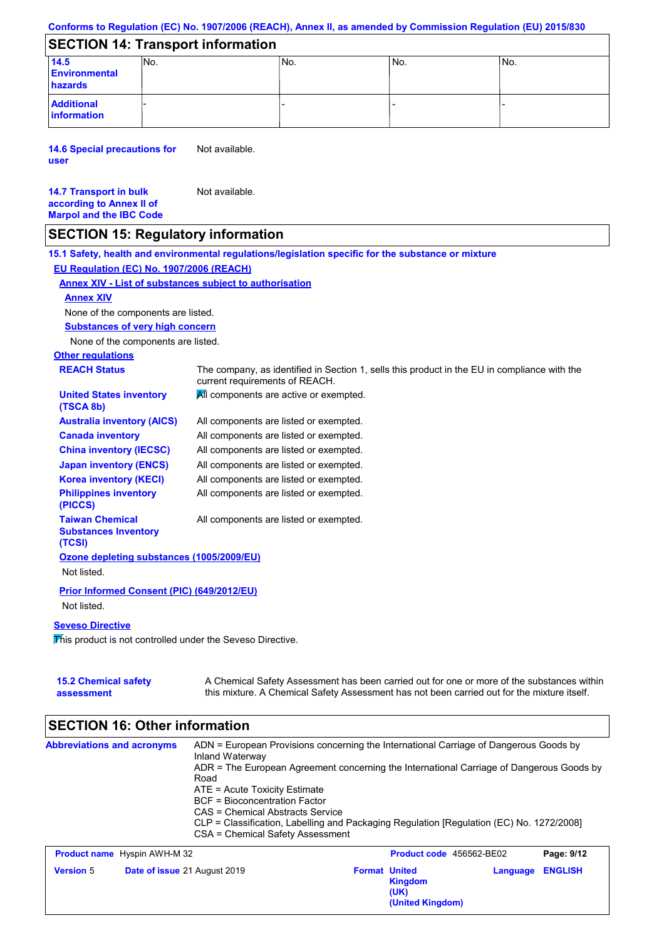## **SECTION 14: Transport information**

| 14.5<br><b>Environmental</b><br>hazards | INo. | 'No. | No. | INo. |
|-----------------------------------------|------|------|-----|------|
| <b>Additional</b><br>information        |      |      |     |      |

**14.6 Special precautions for user** Not available.

#### **14.7 Transport in bulk according to Annex II of Marpol and the IBC Code** Not available.

## **SECTION 15: Regulatory information**

**Other regulations REACH Status** The company, as identified in Section 1, sells this product in the EU in compliance with the current requirements of REACH. **15.1 Safety, health and environmental regulations/legislation specific for the substance or mixture EU Regulation (EC) No. 1907/2006 (REACH) Annex XIV - List of substances subject to authorisation Substances of very high concern** None of the components are listed. All components are listed or exempted. All components are listed or exempted. All components are listed or exempted. All components are listed or exempted. All components are active or exempted. All components are listed or exempted. All components are listed or exempted. **United States inventory (TSCA 8b) Australia inventory (AICS) Canada inventory China inventory (IECSC) Japan inventory (ENCS) Korea inventory (KECI) Philippines inventory (PICCS) Taiwan Chemical Substances Inventory (TCSI)** All components are listed or exempted. **Ozone depleting substances (1005/2009/EU)** Not listed. **Prior Informed Consent (PIC) (649/2012/EU)** Not listed. **Seveso Directive** This product is not controlled under the Seveso Directive. None of the components are listed. **Annex XIV**

| <b>15.2 Chemical safety</b> | A Chemical Safety Assessment has been carried out for one or more of the substances within  |
|-----------------------------|---------------------------------------------------------------------------------------------|
| assessment                  | this mixture. A Chemical Safety Assessment has not been carried out for the mixture itself. |

#### **SECTION 16: Other information Abbreviations and acronyms** ADN = European Provisions concerning the International Carriage of Dangerous Goods by Inland Waterway ADR = The European Agreement concerning the International Carriage of Dangerous Goods by Road ATE = Acute Toxicity Estimate BCF = Bioconcentration Factor CAS = Chemical Abstracts Service CLP = Classification, Labelling and Packaging Regulation [Regulation (EC) No. 1272/2008] CSA = Chemical Safety Assessment **Product name** Hyspin AWH-M 32 **Product code** 456562-BE02 **Page: 9/12**

| <b>Product name</b> Hyspin AWH-M 32 |                                     |                      | <b>Product code</b> 456562-BE02            |                         | Page: 9/12 |
|-------------------------------------|-------------------------------------|----------------------|--------------------------------------------|-------------------------|------------|
| <b>Version 5</b>                    | <b>Date of issue 21 August 2019</b> | <b>Format United</b> | <b>Kingdom</b><br>(UK)<br>(United Kingdom) | <b>Language ENGLISH</b> |            |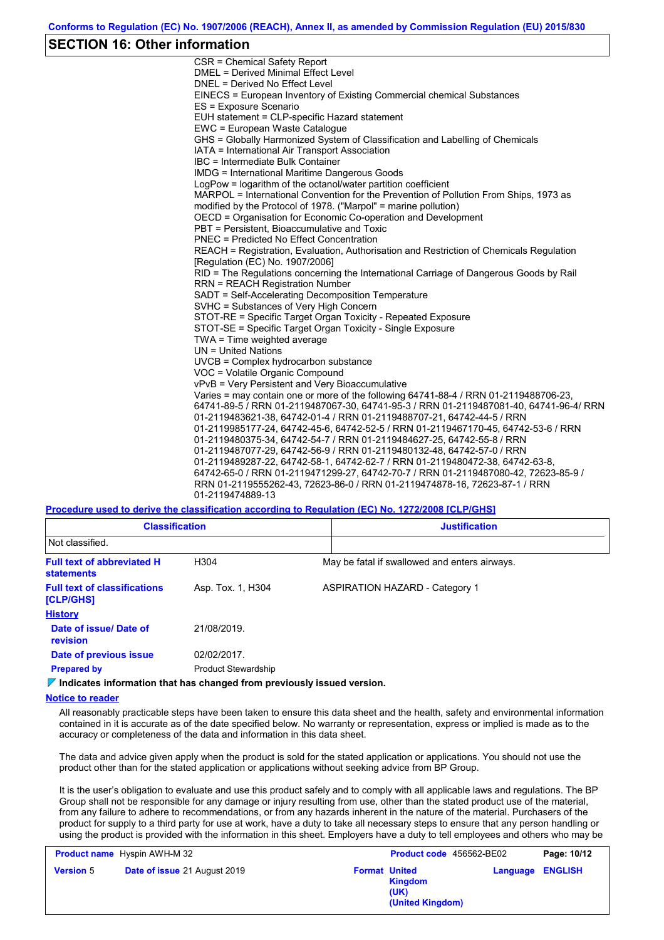### **SECTION 16: Other information**

CSR = Chemical Safety Report DMEL = Derived Minimal Effect Level DNEL = Derived No Effect Level EINECS = European Inventory of Existing Commercial chemical Substances ES = Exposure Scenario EUH statement = CLP-specific Hazard statement EWC = European Waste Catalogue GHS = Globally Harmonized System of Classification and Labelling of Chemicals IATA = International Air Transport Association IBC = Intermediate Bulk Container IMDG = International Maritime Dangerous Goods LogPow = logarithm of the octanol/water partition coefficient MARPOL = International Convention for the Prevention of Pollution From Ships, 1973 as modified by the Protocol of 1978. ("Marpol" = marine pollution) OECD = Organisation for Economic Co-operation and Development PBT = Persistent, Bioaccumulative and Toxic PNEC = Predicted No Effect Concentration REACH = Registration, Evaluation, Authorisation and Restriction of Chemicals Regulation [Regulation (EC) No. 1907/2006] RID = The Regulations concerning the International Carriage of Dangerous Goods by Rail RRN = REACH Registration Number SADT = Self-Accelerating Decomposition Temperature SVHC = Substances of Very High Concern STOT-RE = Specific Target Organ Toxicity - Repeated Exposure STOT-SE = Specific Target Organ Toxicity - Single Exposure TWA = Time weighted average UN = United Nations UVCB = Complex hydrocarbon substance VOC = Volatile Organic Compound vPvB = Very Persistent and Very Bioaccumulative Varies = may contain one or more of the following 64741-88-4 / RRN 01-2119488706-23, 64741-89-5 / RRN 01-2119487067-30, 64741-95-3 / RRN 01-2119487081-40, 64741-96-4/ RRN 01-2119483621-38, 64742-01-4 / RRN 01-2119488707-21, 64742-44-5 / RRN 01-2119985177-24, 64742-45-6, 64742-52-5 / RRN 01-2119467170-45, 64742-53-6 / RRN 01-2119480375-34, 64742-54-7 / RRN 01-2119484627-25, 64742-55-8 / RRN 01-2119487077-29, 64742-56-9 / RRN 01-2119480132-48, 64742-57-0 / RRN 01-2119489287-22, 64742-58-1, 64742-62-7 / RRN 01-2119480472-38, 64742-63-8, 64742-65-0 / RRN 01-2119471299-27, 64742-70-7 / RRN 01-2119487080-42, 72623-85-9 / RRN 01-2119555262-43, 72623-86-0 / RRN 01-2119474878-16, 72623-87-1 / RRN 01-2119474889-13

**Procedure used to derive the classification according to Regulation (EC) No. 1272/2008 [CLP/GHS]**

| <b>Classification</b>                                  |                            | <b>Justification</b>                          |
|--------------------------------------------------------|----------------------------|-----------------------------------------------|
| Not classified.                                        |                            |                                               |
| <b>Full text of abbreviated H</b><br><b>statements</b> | H304                       | May be fatal if swallowed and enters airways. |
| <b>Full text of classifications</b><br>[CLP/GHS]       | Asp. Tox. 1, H304          | <b>ASPIRATION HAZARD - Category 1</b>         |
| <b>History</b>                                         |                            |                                               |
| Date of issue/ Date of<br>revision                     | 21/08/2019.                |                                               |
| Date of previous issue                                 | 02/02/2017.                |                                               |
| <b>Prepared by</b>                                     | <b>Product Stewardship</b> |                                               |

**Indicates information that has changed from previously issued version.**

#### **Notice to reader**

All reasonably practicable steps have been taken to ensure this data sheet and the health, safety and environmental information contained in it is accurate as of the date specified below. No warranty or representation, express or implied is made as to the accuracy or completeness of the data and information in this data sheet.

The data and advice given apply when the product is sold for the stated application or applications. You should not use the product other than for the stated application or applications without seeking advice from BP Group.

It is the user's obligation to evaluate and use this product safely and to comply with all applicable laws and regulations. The BP Group shall not be responsible for any damage or injury resulting from use, other than the stated product use of the material, from any failure to adhere to recommendations, or from any hazards inherent in the nature of the material. Purchasers of the product for supply to a third party for use at work, have a duty to take all necessary steps to ensure that any person handling or using the product is provided with the information in this sheet. Employers have a duty to tell employees and others who may be

| <b>Product name</b> Hyspin AWH-M 32 |                              |                      | Product code 456562-BE02            |          | Page: 10/12    |
|-------------------------------------|------------------------------|----------------------|-------------------------------------|----------|----------------|
| <b>Version 5</b>                    | Date of issue 21 August 2019 | <b>Format United</b> | Kingdom<br>(UK)<br>(United Kingdom) | Language | <b>ENGLISH</b> |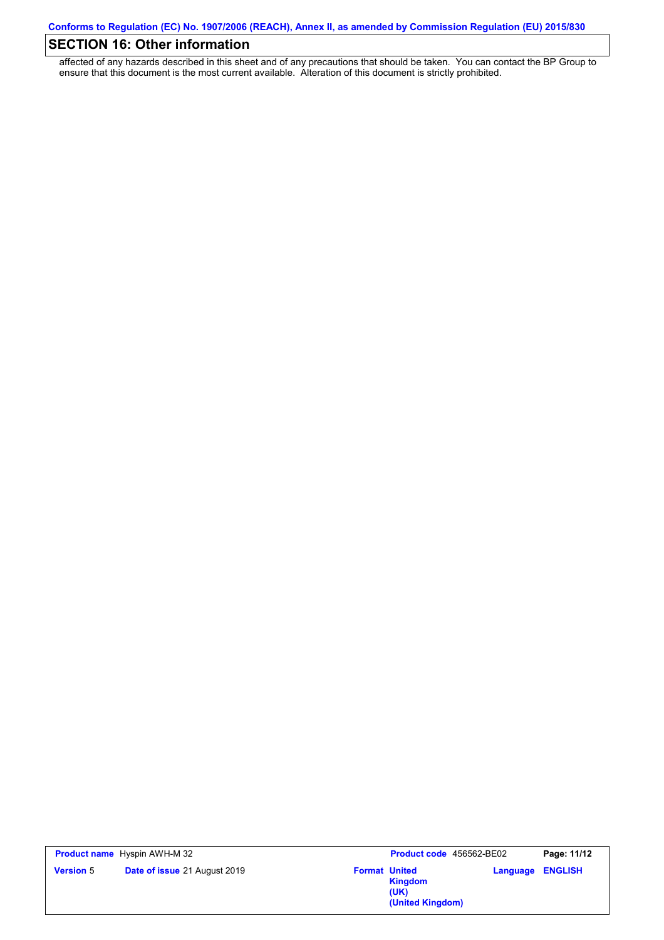# **SECTION 16: Other information**

affected of any hazards described in this sheet and of any precautions that should be taken. You can contact the BP Group to ensure that this document is the most current available. Alteration of this document is strictly prohibited.

|                  | <b>Product name</b> Hyspin AWH-M 32 | <b>Product code</b> 456562-BE02                                    |          | Page: 11/12    |
|------------------|-------------------------------------|--------------------------------------------------------------------|----------|----------------|
| <b>Version 5</b> | <b>Date of issue 21 August 2019</b> | <b>Format United</b><br><b>Kingdom</b><br>(UK)<br>(United Kingdom) | Language | <b>ENGLISH</b> |